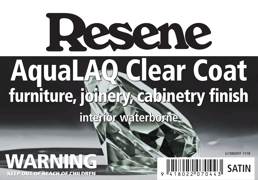



**LL1580201F 11/18**